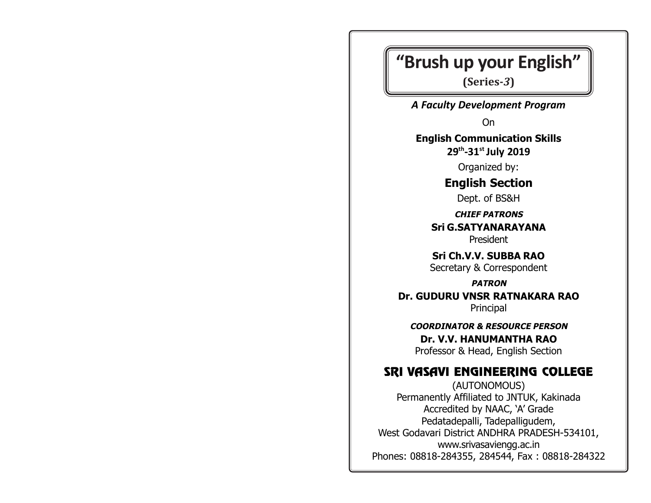# **"Brush up your English"**

**(Series-***3***)**

*A Faculty Development Program*

On

**English Communication Skills 29th-31st July 2019**

Organized by:

**English Section** Dept. of BS&H

**CHIEF PATRONS**

**Sri G.SATYANARAYANA** President

**Sri Ch.V.V. SUBBA RAO** Secretary & Correspondent

**PATRON Dr. GUDURU VNSR RATNAKARA RAO** Principal

**COORDINATOR & RESOURCE PERSON**

**Dr. V.V. HANUMANTHA RAO** Professor & Head, English Section

## SRI VASAVI ENGINEERING COLLEGE

(AUTONOMOUS) Permanently Affiliated to JNTUK, Kakinada Accredited by NAAC, 'A' Grade Pedatadepalli, Tadepalligudem, West Godavari District ANDHRA PRADESH-534101, www.srivasaviengg.ac.in Phones: 08818-284355, 284544, Fax : 08818-284322